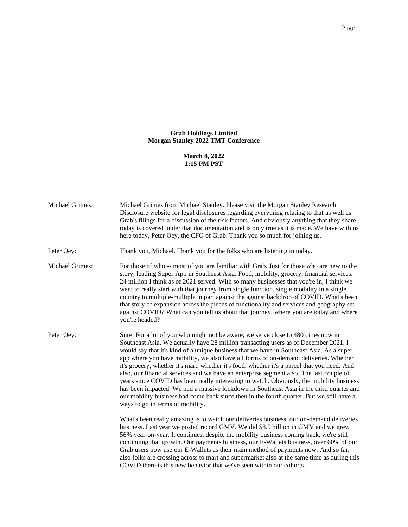## **Grab Holdings Limited Morgan Stanley 2022 TMT Conference**

**March 8, 2022 1:15 PM PST**

| Michael Grimes:        | Michael Grimes from Michael Stanley. Please visit the Morgan Stanley Research<br>Disclosure website for legal disclosures regarding everything relating to that as well as<br>Grab's filings for a discussion of the risk factors. And obviously anything that they share<br>today is covered under that documentation and is only true as it is made. We have with us<br>here today, Peter Oey, the CFO of Grab. Thank you so much for joining us.                                                                                                                                                                                                                                                                                                                                                                                                                               |
|------------------------|-----------------------------------------------------------------------------------------------------------------------------------------------------------------------------------------------------------------------------------------------------------------------------------------------------------------------------------------------------------------------------------------------------------------------------------------------------------------------------------------------------------------------------------------------------------------------------------------------------------------------------------------------------------------------------------------------------------------------------------------------------------------------------------------------------------------------------------------------------------------------------------|
| Peter Oey:             | Thank you, Michael. Thank you for the folks who are listening in today.                                                                                                                                                                                                                                                                                                                                                                                                                                                                                                                                                                                                                                                                                                                                                                                                           |
| <b>Michael Grimes:</b> | For those of who -- most of you are familiar with Grab. Just for those who are new to the<br>story, leading Super App in Southeast Asia. Food, mobility, grocery, financial services.<br>24 million I think as of 2021 served. With so many businesses that you're in, I think we<br>want to really start with that journey from single function, single modality in a single<br>country to multiple-multiple in part against the against backdrop of COVID. What's been<br>that story of expansion across the pieces of functionality and services and geography set<br>against COVID? What can you tell us about that journey, where you are today and where<br>you're headed?                                                                                                                                                                                                  |
| Peter Oey:             | Sure. For a lot of you who might not be aware, we serve close to 480 cities now in<br>Southeast Asia. We actually have 28 million transacting users as of December 2021. I<br>would say that it's kind of a unique business that we have in Southeast Asia. As a super<br>app where you have mobility, we also have all forms of on-demand deliveries. Whether<br>it's grocery, whether it's mart, whether it's food, whether it's a parcel that you need. And<br>also, our financial services and we have an enterprise segment also. The last couple of<br>years since COVID has been really interesting to watch. Obviously, the mobility business<br>has been impacted. We had a massive lockdown in Southeast Asia in the third quarter and<br>our mobility business had come back since then in the fourth quarter. But we still have a<br>ways to go in terms of mobility. |
|                        | What's been really amazing is to watch our deliveries business, our on-demand deliveries<br>business. Last year we posted record GMV. We did \$8.5 billion in GMV and we grew<br>56% year-on-year. It continues, despite the mobility business coming back, we're still<br>continuing that growth. Our payments business, our E-Wallets business, over 60% of our<br>Grab users now use our E-Wallets as their main method of payments now. And so far,<br>also folks are crossing across to mart and supermarket also at the same time as during this<br>COVID there is this new behavior that we've seen within our cohorts.                                                                                                                                                                                                                                                    |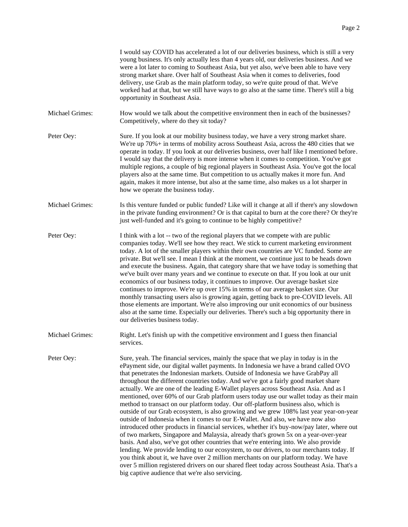|                 | I would say COVID has accelerated a lot of our deliveries business, which is still a very<br>young business. It's only actually less than 4 years old, our deliveries business. And we<br>were a lot later to coming to Southeast Asia, but yet also, we've been able to have very<br>strong market share. Over half of Southeast Asia when it comes to deliveries, food<br>delivery, use Grab as the main platform today, so we're quite proud of that. We've<br>worked had at that, but we still have ways to go also at the same time. There's still a big<br>opportunity in Southeast Asia.                                                                                                                                                                                                                                                                                                                                                                                                                                                                                                                                                                                                                                                                                                                                                                                                                              |
|-----------------|------------------------------------------------------------------------------------------------------------------------------------------------------------------------------------------------------------------------------------------------------------------------------------------------------------------------------------------------------------------------------------------------------------------------------------------------------------------------------------------------------------------------------------------------------------------------------------------------------------------------------------------------------------------------------------------------------------------------------------------------------------------------------------------------------------------------------------------------------------------------------------------------------------------------------------------------------------------------------------------------------------------------------------------------------------------------------------------------------------------------------------------------------------------------------------------------------------------------------------------------------------------------------------------------------------------------------------------------------------------------------------------------------------------------------|
| Michael Grimes: | How would we talk about the competitive environment then in each of the businesses?<br>Competitively, where do they sit today?                                                                                                                                                                                                                                                                                                                                                                                                                                                                                                                                                                                                                                                                                                                                                                                                                                                                                                                                                                                                                                                                                                                                                                                                                                                                                               |
| Peter Oey:      | Sure. If you look at our mobility business today, we have a very strong market share.<br>We're up $70\%$ + in terms of mobility across Southeast Asia, across the 480 cities that we<br>operate in today. If you look at our deliveries business, over half like I mentioned before.<br>I would say that the delivery is more intense when it comes to competition. You've got<br>multiple regions, a couple of big regional players in Southeast Asia. You've got the local<br>players also at the same time. But competition to us actually makes it more fun. And<br>again, makes it more intense, but also at the same time, also makes us a lot sharper in<br>how we operate the business today.                                                                                                                                                                                                                                                                                                                                                                                                                                                                                                                                                                                                                                                                                                                        |
| Michael Grimes: | Is this venture funded or public funded? Like will it change at all if there's any slowdown<br>in the private funding environment? Or is that capital to burn at the core there? Or they're<br>just well-funded and it's going to continue to be highly competitive?                                                                                                                                                                                                                                                                                                                                                                                                                                                                                                                                                                                                                                                                                                                                                                                                                                                                                                                                                                                                                                                                                                                                                         |
| Peter Oey:      | I think with a lot -- two of the regional players that we compete with are public<br>companies today. We'll see how they react. We stick to current marketing environment<br>today. A lot of the smaller players within their own countries are VC funded. Some are<br>private. But we'll see. I mean I think at the moment, we continue just to be heads down<br>and execute the business. Again, that category share that we have today is something that<br>we've built over many years and we continue to execute on that. If you look at our unit<br>economics of our business today, it continues to improve. Our average basket size<br>continues to improve. We're up over 15% in terms of our average basket size. Our<br>monthly transacting users also is growing again, getting back to pre-COVID levels. All<br>those elements are important. We're also improving our unit economics of our business<br>also at the same time. Especially our deliveries. There's such a big opportunity there in<br>our deliveries business today.                                                                                                                                                                                                                                                                                                                                                                            |
| Michael Grimes: | Right. Let's finish up with the competitive environment and I guess then financial<br>services.                                                                                                                                                                                                                                                                                                                                                                                                                                                                                                                                                                                                                                                                                                                                                                                                                                                                                                                                                                                                                                                                                                                                                                                                                                                                                                                              |
| Peter Oey:      | Sure, yeah. The financial services, mainly the space that we play in today is in the<br>ePayment side, our digital wallet payments. In Indonesia we have a brand called OVO<br>that penetrates the Indonesian markets. Outside of Indonesia we have GrabPay all<br>throughout the different countries today. And we've got a fairly good market share<br>actually. We are one of the leading E-Wallet players across Southeast Asia. And as I<br>mentioned, over 60% of our Grab platform users today use our wallet today as their main<br>method to transact on our platform today. Our off-platform business also, which is<br>outside of our Grab ecosystem, is also growing and we grew 108% last year year-on-year<br>outside of Indonesia when it comes to our E-Wallet. And also, we have now also<br>introduced other products in financial services, whether it's buy-now/pay later, where out<br>of two markets, Singapore and Malaysia, already that's grown 5x on a year-over-year<br>basis. And also, we've got other countries that we're entering into. We also provide<br>lending. We provide lending to our ecosystem, to our drivers, to our merchants today. If<br>you think about it, we have over 2 million merchants on our platform today. We have<br>over 5 million registered drivers on our shared fleet today across Southeast Asia. That's a<br>big captive audience that we're also servicing. |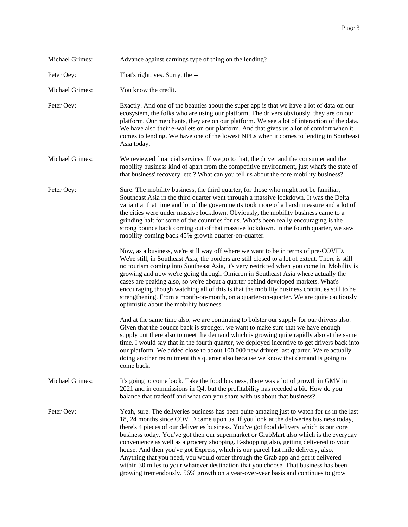| Michael Grimes:        | Advance against earnings type of thing on the lending?                                                                                                                                                                                                                                                                                                                                                                                                                                                                                                                                                                                                                                                                                                                                                                   |
|------------------------|--------------------------------------------------------------------------------------------------------------------------------------------------------------------------------------------------------------------------------------------------------------------------------------------------------------------------------------------------------------------------------------------------------------------------------------------------------------------------------------------------------------------------------------------------------------------------------------------------------------------------------------------------------------------------------------------------------------------------------------------------------------------------------------------------------------------------|
| Peter Oey:             | That's right, yes. Sorry, the --                                                                                                                                                                                                                                                                                                                                                                                                                                                                                                                                                                                                                                                                                                                                                                                         |
| <b>Michael Grimes:</b> | You know the credit.                                                                                                                                                                                                                                                                                                                                                                                                                                                                                                                                                                                                                                                                                                                                                                                                     |
| Peter Oey:             | Exactly. And one of the beauties about the super app is that we have a lot of data on our<br>ecosystem, the folks who are using our platform. The drivers obviously, they are on our<br>platform. Our merchants, they are on our platform. We see a lot of interaction of the data.<br>We have also their e-wallets on our platform. And that gives us a lot of comfort when it<br>comes to lending. We have one of the lowest NPLs when it comes to lending in Southeast<br>Asia today.                                                                                                                                                                                                                                                                                                                                 |
| Michael Grimes:        | We reviewed financial services. If we go to that, the driver and the consumer and the<br>mobility business kind of apart from the competitive environment, just what's the state of<br>that business' recovery, etc.? What can you tell us about the core mobility business?                                                                                                                                                                                                                                                                                                                                                                                                                                                                                                                                             |
| Peter Oey:             | Sure. The mobility business, the third quarter, for those who might not be familiar,<br>Southeast Asia in the third quarter went through a massive lockdown. It was the Delta<br>variant at that time and lot of the governments took more of a harsh measure and a lot of<br>the cities were under massive lockdown. Obviously, the mobility business came to a<br>grinding halt for some of the countries for us. What's been really encouraging is the<br>strong bounce back coming out of that massive lockdown. In the fourth quarter, we saw<br>mobility coming back 45% growth quarter-on-quarter.                                                                                                                                                                                                                |
|                        | Now, as a business, we're still way off where we want to be in terms of pre-COVID.<br>We're still, in Southeast Asia, the borders are still closed to a lot of extent. There is still<br>no tourism coming into Southeast Asia, it's very restricted when you come in. Mobility is<br>growing and now we're going through Omicron in Southeast Asia where actually the<br>cases are peaking also, so we're about a quarter behind developed markets. What's<br>encouraging though watching all of this is that the mobility business continues still to be<br>strengthening. From a month-on-month, on a quarter-on-quarter. We are quite cautiously<br>optimistic about the mobility business.                                                                                                                          |
|                        | And at the same time also, we are continuing to bolster our supply for our drivers also.<br>Given that the bounce back is stronger, we want to make sure that we have enough<br>supply out there also to meet the demand which is growing quite rapidly also at the same<br>time. I would say that in the fourth quarter, we deployed incentive to get drivers back into<br>our platform. We added close to about 100,000 new drivers last quarter. We're actually<br>doing another recruitment this quarter also because we know that demand is going to<br>come back.                                                                                                                                                                                                                                                  |
| Michael Grimes:        | It's going to come back. Take the food business, there was a lot of growth in GMV in<br>2021 and in commissions in Q4, but the profitability has receded a bit. How do you<br>balance that tradeoff and what can you share with us about that business?                                                                                                                                                                                                                                                                                                                                                                                                                                                                                                                                                                  |
| Peter Oey:             | Yeah, sure. The deliveries business has been quite amazing just to watch for us in the last<br>18, 24 months since COVID came upon us. If you look at the deliveries business today,<br>there's 4 pieces of our deliveries business. You've got food delivery which is our core<br>business today. You've got then our supermarket or GrabMart also which is the everyday<br>convenience as well as a grocery shopping. E-shopping also, getting delivered to your<br>house. And then you've got Express, which is our parcel last mile delivery, also.<br>Anything that you need, you would order through the Grab app and get it delivered<br>within 30 miles to your whatever destination that you choose. That business has been<br>growing tremendously. 56% growth on a year-over-year basis and continues to grow |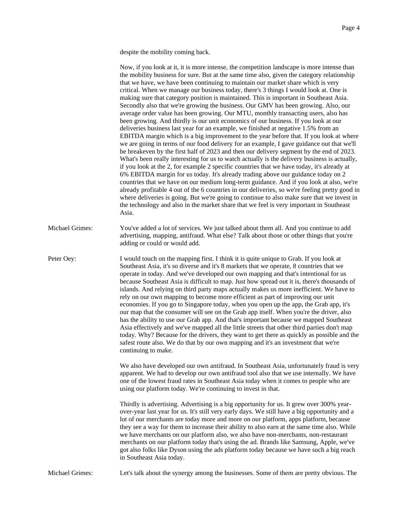despite the mobility coming back.

|                 | Now, if you look at it, it is more intense, the competition landscape is more intense than<br>the mobility business for sure. But at the same time also, given the category relationship<br>that we have, we have been continuing to maintain our market share which is very<br>critical. When we manage our business today, there's 3 things I would look at. One is<br>making sure that category position is maintained. This is important in Southeast Asia.<br>Secondly also that we're growing the business. Our GMV has been growing. Also, our<br>average order value has been growing. Our MTU, monthly transacting users, also has<br>been growing. And thirdly is our unit economics of our business. If you look at our<br>deliveries business last year for an example, we finished at negative 1.5% from an<br>EBITDA margin which is a big improvement to the year before that. If you look at where<br>we are going in terms of our food delivery for an example, I gave guidance out that we'll<br>be breakeven by the first half of 2023 and then our delivery segment by the end of 2023.<br>What's been really interesting for us to watch actually is the delivery business is actually,<br>if you look at the 2, for example 2 specific countries that we have today, it's already at<br>6% EBITDA margin for us today. It's already trading above our guidance today on 2<br>countries that we have on our medium long-term guidance. And if you look at also, we're<br>already profitable 4 out of the 6 countries in our deliveries, so we're feeling pretty good in<br>where deliveries is going. But we're going to continue to also make sure that we invest in<br>the technology and also in the market share that we feel is very important in Southeast<br>Asia. |
|-----------------|------------------------------------------------------------------------------------------------------------------------------------------------------------------------------------------------------------------------------------------------------------------------------------------------------------------------------------------------------------------------------------------------------------------------------------------------------------------------------------------------------------------------------------------------------------------------------------------------------------------------------------------------------------------------------------------------------------------------------------------------------------------------------------------------------------------------------------------------------------------------------------------------------------------------------------------------------------------------------------------------------------------------------------------------------------------------------------------------------------------------------------------------------------------------------------------------------------------------------------------------------------------------------------------------------------------------------------------------------------------------------------------------------------------------------------------------------------------------------------------------------------------------------------------------------------------------------------------------------------------------------------------------------------------------------------------------------------------------------------------------------------------------------------------------|
| Michael Grimes: | You've added a lot of services. We just talked about them all. And you continue to add<br>advertising, mapping, antifraud. What else? Talk about those or other things that you're<br>adding or could or would add.                                                                                                                                                                                                                                                                                                                                                                                                                                                                                                                                                                                                                                                                                                                                                                                                                                                                                                                                                                                                                                                                                                                                                                                                                                                                                                                                                                                                                                                                                                                                                                            |
| Peter Oey:      | I would touch on the mapping first. I think it is quite unique to Grab. If you look at<br>Southeast Asia, it's so diverse and it's 8 markets that we operate, 8 countries that we<br>operate in today. And we've developed our own mapping and that's intentional for us<br>because Southeast Asia is difficult to map. Just how spread out it is, there's thousands of<br>islands. And relying on third party maps actually makes us more inefficient. We have to<br>rely on our own mapping to become more efficient as part of improving our unit<br>economies. If you go to Singapore today, when you open up the app, the Grab app, it's<br>our map that the consumer will see on the Grab app itself. When you're the driver, also<br>has the ability to use our Grab app. And that's important because we mapped Southeast<br>Asia effectively and we've mapped all the little streets that other third parties don't map<br>today. Why? Because for the drivers, they want to get there as quickly as possible and the<br>safest route also. We do that by our own mapping and it's an investment that we're<br>continuing to make.                                                                                                                                                                                                                                                                                                                                                                                                                                                                                                                                                                                                                                                    |
|                 | We also have developed our own antifraud. In Southeast Asia, unfortunately fraud is very<br>apparent. We had to develop our own antifraud tool also that we use internally. We have<br>one of the lowest fraud rates in Southeast Asia today when it comes to people who are<br>using our platform today. We're continuing to invest in that.                                                                                                                                                                                                                                                                                                                                                                                                                                                                                                                                                                                                                                                                                                                                                                                                                                                                                                                                                                                                                                                                                                                                                                                                                                                                                                                                                                                                                                                  |
|                 | Thirdly is advertising. Advertising is a big opportunity for us. It grew over 300% year-<br>over-year last year for us. It's still very early days. We still have a big opportunity and a<br>lot of our merchants are today more and more on our platform, apps platform, because<br>they see a way for them to increase their ability to also earn at the same time also. While<br>we have merchants on our platform also, we also have non-merchants, non-restaurant<br>merchants on our platform today that's using the ad. Brands like Samsung, Apple, we've<br>got also folks like Dyson using the ads platform today because we have such a big reach<br>in Southeast Asia today.                                                                                                                                                                                                                                                                                                                                                                                                                                                                                                                                                                                                                                                                                                                                                                                                                                                                                                                                                                                                                                                                                                        |
| Michael Grimes: | Let's talk about the synergy among the businesses. Some of them are pretty obvious. The                                                                                                                                                                                                                                                                                                                                                                                                                                                                                                                                                                                                                                                                                                                                                                                                                                                                                                                                                                                                                                                                                                                                                                                                                                                                                                                                                                                                                                                                                                                                                                                                                                                                                                        |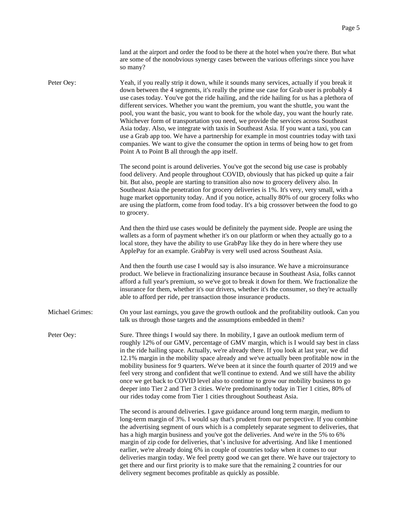|                 | land at the airport and order the food to be there at the hotel when you're there. But what<br>are some of the nonobvious synergy cases between the various offerings since you have<br>so many?                                                                                                                                                                                                                                                                                                                                                                                                                                                                                                                                                                                                                                                                                                |
|-----------------|-------------------------------------------------------------------------------------------------------------------------------------------------------------------------------------------------------------------------------------------------------------------------------------------------------------------------------------------------------------------------------------------------------------------------------------------------------------------------------------------------------------------------------------------------------------------------------------------------------------------------------------------------------------------------------------------------------------------------------------------------------------------------------------------------------------------------------------------------------------------------------------------------|
| Peter Oey:      | Yeah, if you really strip it down, while it sounds many services, actually if you break it<br>down between the 4 segments, it's really the prime use case for Grab user is probably 4<br>use cases today. You've got the ride hailing, and the ride hailing for us has a plethora of<br>different services. Whether you want the premium, you want the shuttle, you want the<br>pool, you want the basic, you want to book for the whole day, you want the hourly rate.<br>Whichever form of transportation you need, we provide the services across Southeast<br>Asia today. Also, we integrate with taxis in Southeast Asia. If you want a taxi, you can<br>use a Grab app too. We have a partnership for example in most countries today with taxi<br>companies. We want to give the consumer the option in terms of being how to get from<br>Point A to Point B all through the app itself. |
|                 | The second point is around deliveries. You've got the second big use case is probably<br>food delivery. And people throughout COVID, obviously that has picked up quite a fair<br>bit. But also, people are starting to transition also now to grocery delivery also. In<br>Southeast Asia the penetration for grocery deliveries is 1%. It's very, very small, with a<br>huge market opportunity today. And if you notice, actually 80% of our grocery folks who<br>are using the platform, come from food today. It's a big crossover between the food to go<br>to grocery.                                                                                                                                                                                                                                                                                                                   |
|                 | And then the third use cases would be definitely the payment side. People are using the<br>wallets as a form of payment whether it's on our platform or when they actually go to a<br>local store, they have the ability to use GrabPay like they do in here where they use<br>ApplePay for an example. GrabPay is very well used across Southeast Asia.                                                                                                                                                                                                                                                                                                                                                                                                                                                                                                                                        |
|                 | And then the fourth use case I would say is also insurance. We have a microinsurance<br>product. We believe in fractionalizing insurance because in Southeast Asia, folks cannot<br>afford a full year's premium, so we've got to break it down for them. We fractionalize the<br>insurance for them, whether it's our drivers, whether it's the consumer, so they're actually<br>able to afford per ride, per transaction those insurance products.                                                                                                                                                                                                                                                                                                                                                                                                                                            |
| Michael Grimes: | On your last earnings, you gave the growth outlook and the profitability outlook. Can you<br>talk us through those targets and the assumptions embedded in them?                                                                                                                                                                                                                                                                                                                                                                                                                                                                                                                                                                                                                                                                                                                                |
| Peter Oey:      | Sure. Three things I would say there. In mobility, I gave an outlook medium term of<br>roughly 12% of our GMV, percentage of GMV margin, which is I would say best in class<br>in the ride hailing space. Actually, we're already there. If you look at last year, we did<br>12.1% margin in the mobility space already and we've actually been profitable now in the<br>mobility business for 9 quarters. We've been at it since the fourth quarter of 2019 and we<br>feel very strong and confident that we'll continue to extend. And we still have the ability<br>once we get back to COVID level also to continue to grow our mobility business to go<br>deeper into Tier 2 and Tier 3 cities. We're predominantly today in Tier 1 cities, 80% of<br>our rides today come from Tier 1 cities throughout Southeast Asia.                                                                    |
|                 | The second is around deliveries. I gave guidance around long term margin, medium to<br>long-term margin of 3%. I would say that's prudent from our perspective. If you combine<br>the advertising segment of ours which is a completely separate segment to deliveries, that<br>has a high margin business and you've got the deliveries. And we're in the 5% to 6%<br>margin of zip code for deliveries, that's inclusive for advertising. And like I mentioned<br>earlier, we're already doing 6% in couple of countries today when it comes to our<br>deliveries margin today. We feel pretty good we can get there. We have our trajectory to<br>get there and our first priority is to make sure that the remaining 2 countries for our<br>delivery segment becomes profitable as quickly as possible.                                                                                     |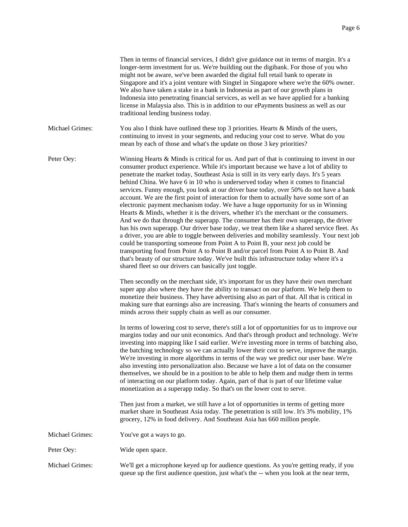|                        | Then in terms of financial services, I didn't give guidance out in terms of margin. It's a<br>longer-term investment for us. We're building out the digibank. For those of you who<br>might not be aware, we've been awarded the digital full retail bank to operate in<br>Singapore and it's a joint venture with Singtel in Singapore where we're the 60% owner.<br>We also have taken a stake in a bank in Indonesia as part of our growth plans in<br>Indonesia into penetrating financial services, as well as we have applied for a banking<br>license in Malaysia also. This is in addition to our ePayments business as well as our<br>traditional lending business today.                                                                                                                                                                                                                                                                                                                                                                                                                                                                                                                                                                                                                                                                          |
|------------------------|-------------------------------------------------------------------------------------------------------------------------------------------------------------------------------------------------------------------------------------------------------------------------------------------------------------------------------------------------------------------------------------------------------------------------------------------------------------------------------------------------------------------------------------------------------------------------------------------------------------------------------------------------------------------------------------------------------------------------------------------------------------------------------------------------------------------------------------------------------------------------------------------------------------------------------------------------------------------------------------------------------------------------------------------------------------------------------------------------------------------------------------------------------------------------------------------------------------------------------------------------------------------------------------------------------------------------------------------------------------|
| <b>Michael Grimes:</b> | You also I think have outlined these top 3 priorities. Hearts $&$ Minds of the users,<br>continuing to invest in your segments, and reducing your cost to serve. What do you<br>mean by each of those and what's the update on those 3 key priorities?                                                                                                                                                                                                                                                                                                                                                                                                                                                                                                                                                                                                                                                                                                                                                                                                                                                                                                                                                                                                                                                                                                      |
| Peter Oey:             | Winning Hearts & Minds is critical for us. And part of that is continuing to invest in our<br>consumer product experience. While it's important because we have a lot of ability to<br>penetrate the market today, Southeast Asia is still in its very early days. It's 5 years<br>behind China. We have 6 in 10 who is underserved today when it comes to financial<br>services. Funny enough, you look at our driver base today, over 50% do not have a bank<br>account. We are the first point of interaction for them to actually have some sort of an<br>electronic payment mechanism today. We have a huge opportunity for us in Winning<br>Hearts & Minds, whether it is the drivers, whether it's the merchant or the consumers.<br>And we do that through the superapp. The consumer has their own superapp, the driver<br>has his own superapp. Our driver base today, we treat them like a shared service fleet. As<br>a driver, you are able to toggle between deliveries and mobility seamlessly. Your next job<br>could be transporting someone from Point A to Point B, your next job could be<br>transporting food from Point A to Point B and/or parcel from Point A to Point B. And<br>that's beauty of our structure today. We've built this infrastructure today where it's a<br>shared fleet so our drivers can basically just toggle. |
|                        | Then secondly on the merchant side, it's important for us they have their own merchant<br>super app also where they have the ability to transact on our platform. We help them to<br>monetize their business. They have advertising also as part of that. All that is critical in<br>making sure that earnings also are increasing. That's winning the hearts of consumers and<br>minds across their supply chain as well as our consumer.                                                                                                                                                                                                                                                                                                                                                                                                                                                                                                                                                                                                                                                                                                                                                                                                                                                                                                                  |
|                        | In terms of lowering cost to serve, there's still a lot of opportunities for us to improve our<br>margins today and our unit economics. And that's through product and technology. We're<br>investing into mapping like I said earlier. We're investing more in terms of batching also,<br>the batching technology so we can actually lower their cost to serve, improve the margin.<br>We're investing in more algorithms in terms of the way we predict our user base. We're<br>also investing into personalization also. Because we have a lot of data on the consumer<br>themselves, we should be in a position to be able to help them and nudge them in terms<br>of interacting on our platform today. Again, part of that is part of our lifetime value<br>monetization as a superapp today. So that's on the lower cost to serve.                                                                                                                                                                                                                                                                                                                                                                                                                                                                                                                   |
|                        | Then just from a market, we still have a lot of opportunities in terms of getting more<br>market share in Southeast Asia today. The penetration is still low. It's 3% mobility, 1%<br>grocery, 12% in food delivery. And Southeast Asia has 660 million people.                                                                                                                                                                                                                                                                                                                                                                                                                                                                                                                                                                                                                                                                                                                                                                                                                                                                                                                                                                                                                                                                                             |
| Michael Grimes:        | You've got a ways to go.                                                                                                                                                                                                                                                                                                                                                                                                                                                                                                                                                                                                                                                                                                                                                                                                                                                                                                                                                                                                                                                                                                                                                                                                                                                                                                                                    |
| Peter Oey:             | Wide open space.                                                                                                                                                                                                                                                                                                                                                                                                                                                                                                                                                                                                                                                                                                                                                                                                                                                                                                                                                                                                                                                                                                                                                                                                                                                                                                                                            |

Michael Grimes: We'll get a microphone keyed up for audience questions. As you're getting ready, if you queue up the first audience question, just what's the -- when you look at the near term,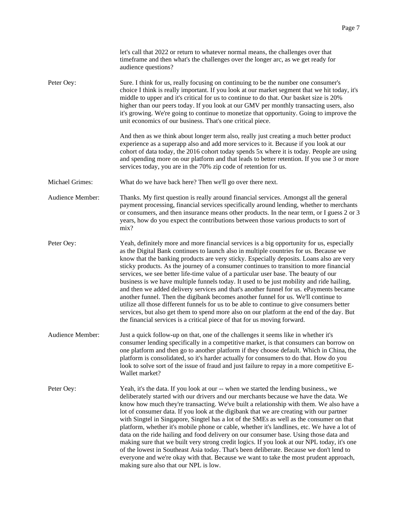|                  | let's call that 2022 or return to whatever normal means, the challenges over that<br>timeframe and then what's the challenges over the longer arc, as we get ready for<br>audience questions?                                                                                                                                                                                                                                                                                                                                                                                                                                                                                                                                                                                                                                                                                                                                                                                                                          |
|------------------|------------------------------------------------------------------------------------------------------------------------------------------------------------------------------------------------------------------------------------------------------------------------------------------------------------------------------------------------------------------------------------------------------------------------------------------------------------------------------------------------------------------------------------------------------------------------------------------------------------------------------------------------------------------------------------------------------------------------------------------------------------------------------------------------------------------------------------------------------------------------------------------------------------------------------------------------------------------------------------------------------------------------|
| Peter Oey:       | Sure. I think for us, really focusing on continuing to be the number one consumer's<br>choice I think is really important. If you look at our market segment that we hit today, it's<br>middle to upper and it's critical for us to continue to do that. Our basket size is 20%<br>higher than our peers today. If you look at our GMV per monthly transacting users, also<br>it's growing. We're going to continue to monetize that opportunity. Going to improve the<br>unit economics of our business. That's one critical piece.                                                                                                                                                                                                                                                                                                                                                                                                                                                                                   |
|                  | And then as we think about longer term also, really just creating a much better product<br>experience as a superapp also and add more services to it. Because if you look at our<br>cohort of data today, the 2016 cohort today spends 5x where it is today. People are using<br>and spending more on our platform and that leads to better retention. If you use 3 or more<br>services today, you are in the 70% zip code of retention for us.                                                                                                                                                                                                                                                                                                                                                                                                                                                                                                                                                                        |
| Michael Grimes:  | What do we have back here? Then we'll go over there next.                                                                                                                                                                                                                                                                                                                                                                                                                                                                                                                                                                                                                                                                                                                                                                                                                                                                                                                                                              |
| Audience Member: | Thanks. My first question is really around financial services. Amongst all the general<br>payment processing, financial services specifically around lending, whether to merchants<br>or consumers, and then insurance means other products. In the near term, or I guess 2 or 3<br>years, how do you expect the contributions between those various products to sort of<br>mix?                                                                                                                                                                                                                                                                                                                                                                                                                                                                                                                                                                                                                                       |
| Peter Oey:       | Yeah, definitely more and more financial services is a big opportunity for us, especially<br>as the Digital Bank continues to launch also in multiple countries for us. Because we<br>know that the banking products are very sticky. Especially deposits. Loans also are very<br>sticky products. As the journey of a consumer continues to transition to more financial<br>services, we see better life-time value of a particular user base. The beauty of our<br>business is we have multiple funnels today. It used to be just mobility and ride hailing,<br>and then we added delivery services and that's another funnel for us. ePayments became<br>another funnel. Then the digibank becomes another funnel for us. We'll continue to<br>utilize all those different funnels for us to be able to continue to give consumers better<br>services, but also get them to spend more also on our platform at the end of the day. But<br>the financial services is a critical piece of that for us moving forward. |
| Audience Member: | Just a quick follow-up on that, one of the challenges it seems like in whether it's<br>consumer lending specifically in a competitive market, is that consumers can borrow on<br>one platform and then go to another platform if they choose default. Which in China, the<br>platform is consolidated, so it's harder actually for consumers to do that. How do you<br>look to solve sort of the issue of fraud and just failure to repay in a more competitive E-<br>Wallet market?                                                                                                                                                                                                                                                                                                                                                                                                                                                                                                                                   |
| Peter Oey:       | Yeah, it's the data. If you look at our -- when we started the lending business., we<br>deliberately started with our drivers and our merchants because we have the data. We<br>know how much they're transacting. We've built a relationship with them. We also have a<br>lot of consumer data. If you look at the digibank that we are creating with our partner<br>with Singtel in Singapore, Singtel has a lot of the SMEs as well as the consumer on that<br>platform, whether it's mobile phone or cable, whether it's landlines, etc. We have a lot of<br>data on the ride hailing and food delivery on our consumer base. Using those data and<br>making sure that we built very strong credit logics. If you look at our NPL today, it's one<br>of the lowest in Southeast Asia today. That's been deliberate. Because we don't lend to<br>everyone and we're okay with that. Because we want to take the most prudent approach,<br>making sure also that our NPL is low.                                     |